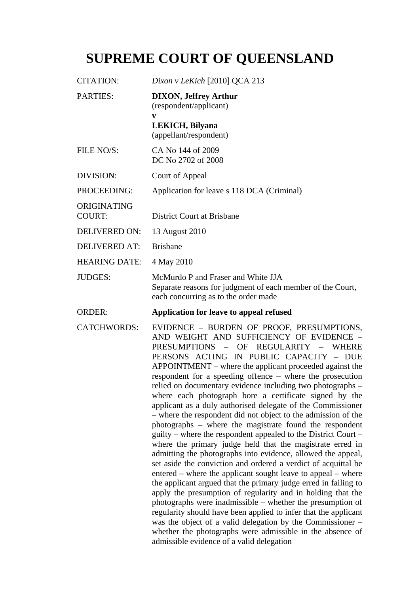# **SUPREME COURT OF QUEENSLAND**

- CITATION: *Dixon v LeKich* [2010] QCA 213
- PARTIES: **DIXON, Jeffrey Arthur**  (respondent/applicant)

**v** 

# **LEKICH, Bilyana**  (appellant/respondent)

FILE NO/S: CA No 144 of 2009 DC No 2702 of 2008

DIVISION: Court of Appeal

PROCEEDING: Application for leave s 118 DCA (Criminal)

- ORIGINATING COURT: District Court at Brisbane
- DELIVERED ON: 13 August 2010
- DELIVERED AT: Brisbane
- HEARING DATE: 4 May 2010

JUDGES: McMurdo P and Fraser and White JJA Separate reasons for judgment of each member of the Court, each concurring as to the order made

ORDER: **Application for leave to appeal refused** 

CATCHWORDS: EVIDENCE – BURDEN OF PROOF, PRESUMPTIONS, AND WEIGHT AND SUFFICIENCY OF EVIDENCE – PRESUMPTIONS – OF REGULARITY – WHERE PERSONS ACTING IN PUBLIC CAPACITY – DUE APPOINTMENT – where the applicant proceeded against the respondent for a speeding offence – where the prosecution relied on documentary evidence including two photographs – where each photograph bore a certificate signed by the applicant as a duly authorised delegate of the Commissioner – where the respondent did not object to the admission of the photographs – where the magistrate found the respondent guilty – where the respondent appealed to the District Court – where the primary judge held that the magistrate erred in admitting the photographs into evidence, allowed the appeal, set aside the conviction and ordered a verdict of acquittal be entered – where the applicant sought leave to appeal – where the applicant argued that the primary judge erred in failing to apply the presumption of regularity and in holding that the photographs were inadmissible – whether the presumption of regularity should have been applied to infer that the applicant was the object of a valid delegation by the Commissioner – whether the photographs were admissible in the absence of admissible evidence of a valid delegation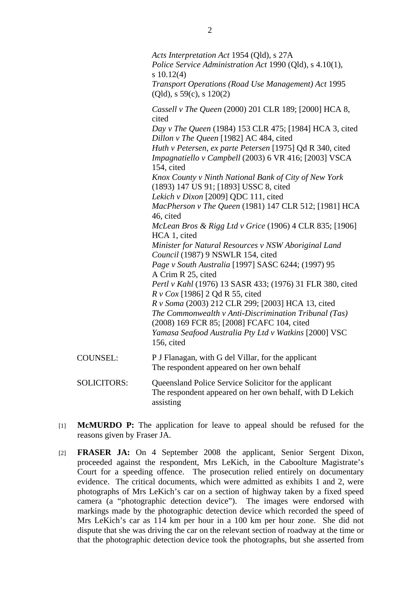*Acts Interpretation Act* 1954 (Qld), s 27A *Police Service Administration Act* 1990 (Qld), s 4.10(1), s 10.12(4) *Transport Operations (Road Use Management) Act* 1995 (Qld), s 59(c), s 120(2) *Cassell v The Queen* (2000) 201 CLR 189; [2000] HCA 8, cited *Day v The Queen* (1984) 153 CLR 475; [1984] HCA 3, cited *Dillon v The Queen* [1982] AC 484, cited *Huth v Petersen*, *ex parte Petersen* [1975] Qd R 340, cited *Impagnatiello v Campbell* (2003) 6 VR 416; [2003] VSCA 154, cited *Knox County v Ninth National Bank of City of New York*  (1893) 147 US 91; [1893] USSC 8, cited *Lekich v Dixon* [2009] QDC 111, cited *MacPherson v The Queen* (1981) 147 CLR 512; [1981] HCA 46, cited *McLean Bros & Rigg Ltd v Grice* (1906) 4 CLR 835; [1906] HCA 1, cited *Minister for Natural Resources v NSW Aboriginal Land Council* (1987) 9 NSWLR 154, cited *Page v South Australia* [1997] SASC 6244; (1997) 95 A Crim R 25, cited *Pertl v Kahl* (1976) 13 SASR 433; (1976) 31 FLR 380, cited *R v Cox* [1986] 2 Qd R 55, cited *R v Soma* (2003) 212 CLR 299; [2003] HCA 13, cited *The Commonwealth v Anti-Discrimination Tribunal (Tas)* (2008) 169 FCR 85; [2008] FCAFC 104, cited *Yamasa Seafood Australia Pty Ltd v Watkins* [2000] VSC 156, cited COUNSEL: P J Flanagan, with G del Villar, for the applicant The respondent appeared on her own behalf

- SOLICITORS: Queensland Police Service Solicitor for the applicant The respondent appeared on her own behalf, with D Lekich assisting
- [1] **McMURDO P:** The application for leave to appeal should be refused for the reasons given by Fraser JA.
- [2] **FRASER JA:** On 4 September 2008 the applicant, Senior Sergent Dixon, proceeded against the respondent, Mrs LeKich, in the Caboolture Magistrate's Court for a speeding offence. The prosecution relied entirely on documentary evidence. The critical documents, which were admitted as exhibits 1 and 2, were photographs of Mrs LeKich's car on a section of highway taken by a fixed speed camera (a "photographic detection device"). The images were endorsed with markings made by the photographic detection device which recorded the speed of Mrs LeKich's car as 114 km per hour in a 100 km per hour zone. She did not dispute that she was driving the car on the relevant section of roadway at the time or that the photographic detection device took the photographs, but she asserted from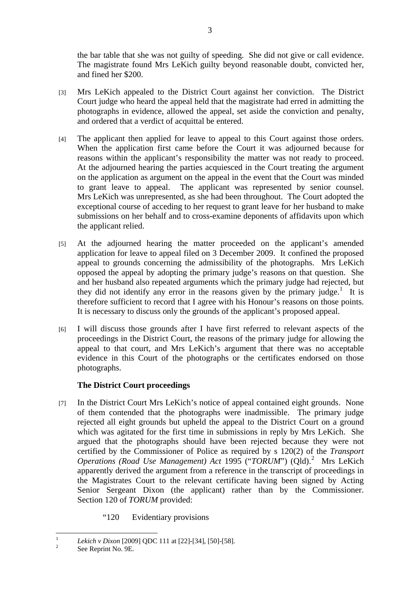the bar table that she was not guilty of speeding. She did not give or call evidence. The magistrate found Mrs LeKich guilty beyond reasonable doubt, convicted her, and fined her \$200.

- [3] Mrs LeKich appealed to the District Court against her conviction. The District Court judge who heard the appeal held that the magistrate had erred in admitting the photographs in evidence, allowed the appeal, set aside the conviction and penalty, and ordered that a verdict of acquittal be entered.
- [4] The applicant then applied for leave to appeal to this Court against those orders. When the application first came before the Court it was adjourned because for reasons within the applicant's responsibility the matter was not ready to proceed. At the adjourned hearing the parties acquiesced in the Court treating the argument on the application as argument on the appeal in the event that the Court was minded to grant leave to appeal. The applicant was represented by senior counsel. Mrs LeKich was unrepresented, as she had been throughout. The Court adopted the exceptional course of acceding to her request to grant leave for her husband to make submissions on her behalf and to cross-examine deponents of affidavits upon which the applicant relied.
- [5] At the adjourned hearing the matter proceeded on the applicant's amended application for leave to appeal filed on 3 December 2009. It confined the proposed appeal to grounds concerning the admissibility of the photographs. Mrs LeKich opposed the appeal by adopting the primary judge's reasons on that question. She and her husband also repeated arguments which the primary judge had rejected, but they did not identify any error in the reasons given by the primary judge.<sup>[1](#page-2-0)</sup> It is therefore sufficient to record that I agree with his Honour's reasons on those points. It is necessary to discuss only the grounds of the applicant's proposed appeal.
- [6] I will discuss those grounds after I have first referred to relevant aspects of the proceedings in the District Court, the reasons of the primary judge for allowing the appeal to that court, and Mrs LeKich's argument that there was no acceptable evidence in this Court of the photographs or the certificates endorsed on those photographs.

# **The District Court proceedings**

- [7] In the District Court Mrs LeKich's notice of appeal contained eight grounds. None of them contended that the photographs were inadmissible. The primary judge rejected all eight grounds but upheld the appeal to the District Court on a ground which was agitated for the first time in submissions in reply by Mrs LeKich. She argued that the photographs should have been rejected because they were not certified by the Commissioner of Police as required by s 120(2) of the *Transport Operations (Road Use Management) Act* 1995 ("*TORUM*") (Qld).[2](#page-2-1) Mrs LeKich apparently derived the argument from a reference in the transcript of proceedings in the Magistrates Court to the relevant certificate having been signed by Acting Senior Sergeant Dixon (the applicant) rather than by the Commissioner. Section 120 of *TORUM* provided:
	- "120 Evidentiary provisions

<span id="page-2-0"></span> $\frac{1}{1}$ *Lekich v Dixon* [2009] QDC 111 at [22]-[34], [50]-[58].

<span id="page-2-1"></span>See Reprint No. 9E.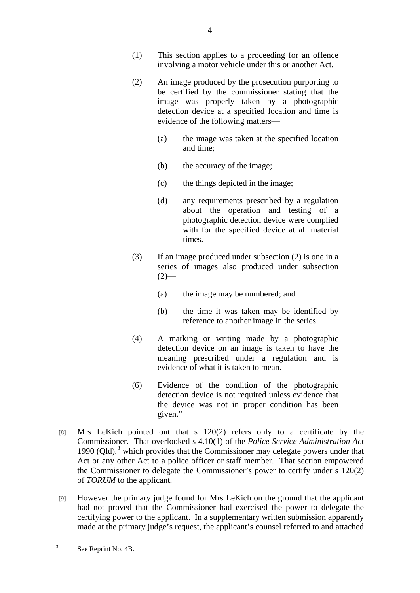- (1) This section applies to a proceeding for an offence involving a motor vehicle under this or another Act.
- (2) An image produced by the prosecution purporting to be certified by the commissioner stating that the image was properly taken by a photographic detection device at a specified location and time is evidence of the following matters—
	- (a) the image was taken at the specified location and time;
	- (b) the accuracy of the image;
	- (c) the things depicted in the image;
	- (d) any requirements prescribed by a regulation about the operation and testing of a photographic detection device were complied with for the specified device at all material times.
- (3) If an image produced under subsection (2) is one in a series of images also produced under subsection  $(2)$ —
	- (a) the image may be numbered; and
	- (b) the time it was taken may be identified by reference to another image in the series.
- (4) A marking or writing made by a photographic detection device on an image is taken to have the meaning prescribed under a regulation and is evidence of what it is taken to mean.
- (6) Evidence of the condition of the photographic detection device is not required unless evidence that the device was not in proper condition has been given."
- [8] Mrs LeKich pointed out that s 120(2) refers only to a certificate by the Commissioner. That overlooked s 4.10(1) of the *Police Service Administration Act*  1990  $(QId),$ <sup>[3](#page-3-0)</sup> which provides that the Commissioner may delegate powers under that Act or any other Act to a police officer or staff member. That section empowered the Commissioner to delegate the Commissioner's power to certify under s 120(2) of *TORUM* to the applicant.
- [9] However the primary judge found for Mrs LeKich on the ground that the applicant had not proved that the Commissioner had exercised the power to delegate the certifying power to the applicant. In a supplementary written submission apparently made at the primary judge's request, the applicant's counsel referred to and attached

<span id="page-3-0"></span><sup>&</sup>lt;sup>2</sup><br>3 See Reprint No. 4B.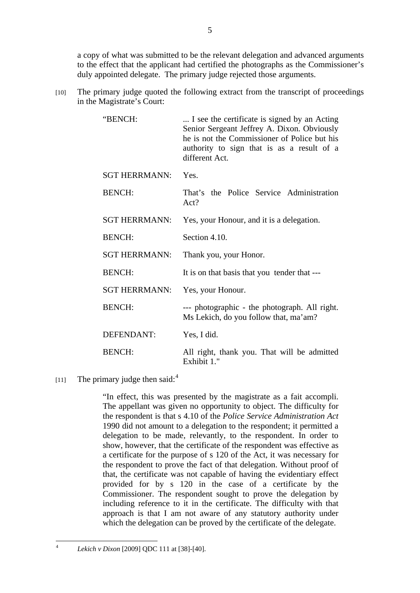a copy of what was submitted to be the relevant delegation and advanced arguments to the effect that the applicant had certified the photographs as the Commissioner's duly appointed delegate. The primary judge rejected those arguments.

[10] The primary judge quoted the following extract from the transcript of proceedings in the Magistrate's Court:

| "BENCH:              | I see the certificate is signed by an Acting<br>Senior Sergeant Jeffrey A. Dixon. Obviously<br>he is not the Commissioner of Police but his<br>authority to sign that is as a result of a<br>different Act. |
|----------------------|-------------------------------------------------------------------------------------------------------------------------------------------------------------------------------------------------------------|
| <b>SGT HERRMANN:</b> | Yes.                                                                                                                                                                                                        |
| <b>BENCH:</b>        | That's the Police Service Administration<br>Act?                                                                                                                                                            |
| <b>SGT HERRMANN:</b> | Yes, your Honour, and it is a delegation.                                                                                                                                                                   |
| <b>BENCH:</b>        | Section 4.10.                                                                                                                                                                                               |
| <b>SGT HERRMANN:</b> | Thank you, your Honor.                                                                                                                                                                                      |
| <b>BENCH:</b>        | It is on that basis that you tender that ---                                                                                                                                                                |
| <b>SGT HERRMANN:</b> | Yes, your Honour.                                                                                                                                                                                           |
| <b>BENCH:</b>        | --- photographic - the photograph. All right.<br>Ms Lekich, do you follow that, ma'am?                                                                                                                      |
| <b>DEFENDANT:</b>    | Yes, I did.                                                                                                                                                                                                 |
| <b>BENCH:</b>        | All right, thank you. That will be admitted<br>Exhibit 1."                                                                                                                                                  |

[11] The primary judge then said: $4$ 

"In effect, this was presented by the magistrate as a fait accompli. The appellant was given no opportunity to object. The difficulty for the respondent is that s 4.10 of the *Police Service Administration Act*  1990 did not amount to a delegation to the respondent; it permitted a delegation to be made, relevantly, to the respondent. In order to show, however, that the certificate of the respondent was effective as a certificate for the purpose of s 120 of the Act, it was necessary for the respondent to prove the fact of that delegation. Without proof of that, the certificate was not capable of having the evidentiary effect provided for by s 120 in the case of a certificate by the Commissioner. The respondent sought to prove the delegation by including reference to it in the certificate. The difficulty with that approach is that I am not aware of any statutory authority under which the delegation can be proved by the certificate of the delegate.

<span id="page-4-0"></span> $\frac{1}{4}$ 

*Lekich v Dixon* [2009] QDC 111 at [38]-[40].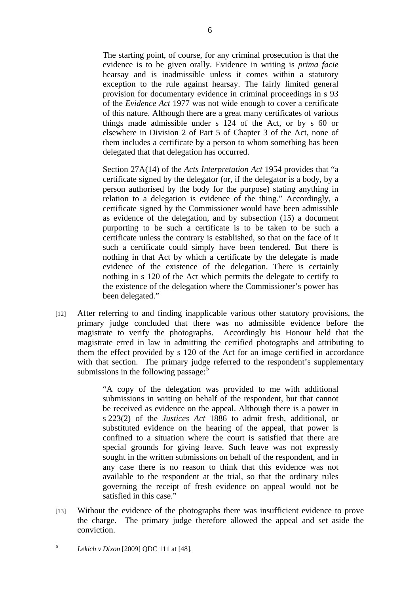The starting point, of course, for any criminal prosecution is that the evidence is to be given orally. Evidence in writing is *prima facie*  hearsay and is inadmissible unless it comes within a statutory exception to the rule against hearsay. The fairly limited general provision for documentary evidence in criminal proceedings in s 93 of the *Evidence Act* 1977 was not wide enough to cover a certificate of this nature. Although there are a great many certificates of various things made admissible under s 124 of the Act, or by s 60 or elsewhere in Division 2 of Part 5 of Chapter 3 of the Act, none of them includes a certificate by a person to whom something has been delegated that that delegation has occurred.

Section 27A(14) of the *Acts Interpretation Act* 1954 provides that "a certificate signed by the delegator (or, if the delegator is a body, by a person authorised by the body for the purpose) stating anything in relation to a delegation is evidence of the thing." Accordingly, a certificate signed by the Commissioner would have been admissible as evidence of the delegation, and by subsection (15) a document purporting to be such a certificate is to be taken to be such a certificate unless the contrary is established, so that on the face of it such a certificate could simply have been tendered. But there is nothing in that Act by which a certificate by the delegate is made evidence of the existence of the delegation. There is certainly nothing in s 120 of the Act which permits the delegate to certify to the existence of the delegation where the Commissioner's power has been delegated."

[12] After referring to and finding inapplicable various other statutory provisions, the primary judge concluded that there was no admissible evidence before the magistrate to verify the photographs. Accordingly his Honour held that the magistrate erred in law in admitting the certified photographs and attributing to them the effect provided by s 120 of the Act for an image certified in accordance with that section. The primary judge referred to the respondent's supplementary submissions in the following passage:<sup>[5](#page-5-0)</sup>

> "A copy of the delegation was provided to me with additional submissions in writing on behalf of the respondent, but that cannot be received as evidence on the appeal. Although there is a power in s 223(2) of the *Justices Act* 1886 to admit fresh, additional, or substituted evidence on the hearing of the appeal, that power is confined to a situation where the court is satisfied that there are special grounds for giving leave. Such leave was not expressly sought in the written submissions on behalf of the respondent, and in any case there is no reason to think that this evidence was not available to the respondent at the trial, so that the ordinary rules governing the receipt of fresh evidence on appeal would not be satisfied in this case."

[13] Without the evidence of the photographs there was insufficient evidence to prove the charge. The primary judge therefore allowed the appeal and set aside the conviction.

<span id="page-5-0"></span> $\frac{1}{5}$ *Lekich v Dixon* [2009] QDC 111 at [48].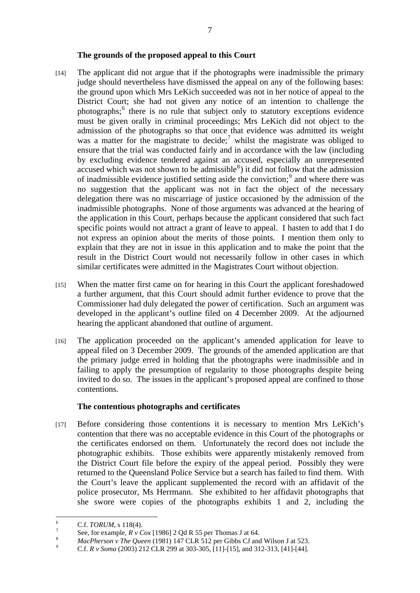## **The grounds of the proposed appeal to this Court**

- [14] The applicant did not argue that if the photographs were inadmissible the primary judge should nevertheless have dismissed the appeal on any of the following bases: the ground upon which Mrs LeKich succeeded was not in her notice of appeal to the District Court; she had not given any notice of an intention to challenge the photographs;<sup>[6](#page-6-0)</sup> there is no rule that subject only to statutory exceptions evidence must be given orally in criminal proceedings; Mrs LeKich did not object to the admission of the photographs so that once that evidence was admitted its weight was a matter for the magistrate to decide;<sup>[7](#page-6-1)</sup> whilst the magistrate was obliged to ensure that the trial was conducted fairly and in accordance with the law (including by excluding evidence tendered against an accused, especially an unrepresented accused which was not shown to be admissible $\delta$ ) it did not follow that the admission of inadmissible evidence justified setting aside the conviction; $\frac{9}{2}$  $\frac{9}{2}$  $\frac{9}{2}$  and where there was no suggestion that the applicant was not in fact the object of the necessary delegation there was no miscarriage of justice occasioned by the admission of the inadmissible photographs. None of those arguments was advanced at the hearing of the application in this Court, perhaps because the applicant considered that such fact specific points would not attract a grant of leave to appeal. I hasten to add that I do not express an opinion about the merits of those points. I mention them only to explain that they are not in issue in this application and to make the point that the result in the District Court would not necessarily follow in other cases in which similar certificates were admitted in the Magistrates Court without objection.
- [15] When the matter first came on for hearing in this Court the applicant foreshadowed a further argument, that this Court should admit further evidence to prove that the Commissioner had duly delegated the power of certification. Such an argument was developed in the applicant's outline filed on 4 December 2009. At the adjourned hearing the applicant abandoned that outline of argument.
- [16] The application proceeded on the applicant's amended application for leave to appeal filed on 3 December 2009. The grounds of the amended application are that the primary judge erred in holding that the photographs were inadmissible and in failing to apply the presumption of regularity to those photographs despite being invited to do so. The issues in the applicant's proposed appeal are confined to those contentions.

### **The contentious photographs and certificates**

[17] Before considering those contentions it is necessary to mention Mrs LeKich's contention that there was no acceptable evidence in this Court of the photographs or the certificates endorsed on them. Unfortunately the record does not include the photographic exhibits. Those exhibits were apparently mistakenly removed from the District Court file before the expiry of the appeal period. Possibly they were returned to the Queensland Police Service but a search has failed to find them. With the Court's leave the applicant supplemented the record with an affidavit of the police prosecutor, Ms Herrmann. She exhibited to her affidavit photographs that she swore were copies of the photographs exhibits 1 and 2, including the

 $\frac{1}{6}$  $\frac{6}{7}$  C.f. *TORUM*, s 118(4).

<span id="page-6-2"></span><span id="page-6-1"></span><span id="page-6-0"></span>See, for example,  $R v Cox$  [1986] 2 Qd R 55 per Thomas J at 64.

*MacPherson v The Queen* (1981) 147 CLR 512 per Gibbs CJ and Wilson J at 523.

<span id="page-6-3"></span>C.f. *R v Soma* (2003) 212 CLR 299 at 303-305, [11]-[15], and 312-313, [41]-[44].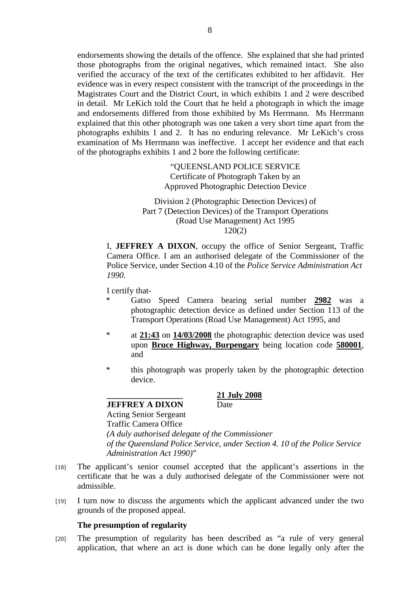endorsements showing the details of the offence. She explained that she had printed those photographs from the original negatives, which remained intact. She also verified the accuracy of the text of the certificates exhibited to her affidavit. Her evidence was in every respect consistent with the transcript of the proceedings in the Magistrates Court and the District Court, in which exhibits 1 and 2 were described in detail. Mr LeKich told the Court that he held a photograph in which the image and endorsements differed from those exhibited by Ms Herrmann. Ms Herrmann explained that this other photograph was one taken a very short time apart from the photographs exhibits 1 and 2. It has no enduring relevance. Mr LeKich's cross examination of Ms Herrmann was ineffective. I accept her evidence and that each of the photographs exhibits 1 and 2 bore the following certificate:

> "QUEENSLAND POLICE SERVICE Certificate of Photograph Taken by an Approved Photographic Detection Device

Division 2 (Photographic Detection Devices) of Part 7 (Detection Devices) of the Transport Operations (Road Use Management) Act 1995 120(2)

I, **JEFFREY A DIXON**, occupy the office of Senior Sergeant*,* Traffic Camera Office. I am an authorised delegate of the Commissioner of the Police Service, under Section 4.10 of the *Police Service Administration Act 1990.* 

I certify that-

- Gatso Speed Camera bearing serial number 2982 was a photographic detection device as defined under Section 113 of the Transport Operations (Road Use Management) Act 1995, and
- \* at **21:43** on **14/03/2008** the photographic detection device was used upon **Bruce Highway, Burpengary** being location code **580001**, and
- \* this photograph was properly taken by the photographic detection device.

## **JEFFREY A DIXON** Date

# **\_\_\_\_\_\_\_\_\_\_\_\_\_\_\_\_\_\_ 21 July 2008**

Acting Senior Sergeant Traffic Camera Office *(A duly authorised delegate of the Commissioner of the Queensland Police Service, under Section 4. 10 of the Police Service Administration Act 1990)*"

- [18] The applicant's senior counsel accepted that the applicant's assertions in the certificate that he was a duly authorised delegate of the Commissioner were not admissible.
- [19] I turn now to discuss the arguments which the applicant advanced under the two grounds of the proposed appeal.

### **The presumption of regularity**

[20] The presumption of regularity has been described as "a rule of very general application, that where an act is done which can be done legally only after the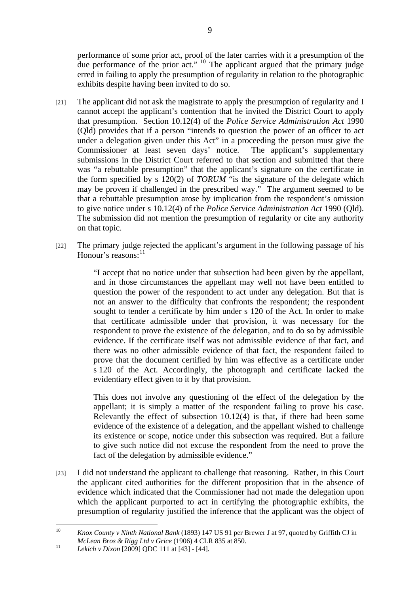performance of some prior act, proof of the later carries with it a presumption of the due performance of the prior act."  $^{10}$  The applicant argued that the primary judge erred in failing to apply the presumption of regularity in relation to the photographic exhibits despite having been invited to do so.

- [21] The applicant did not ask the magistrate to apply the presumption of regularity and I cannot accept the applicant's contention that he invited the District Court to apply that presumption. Section 10.12(4) of the *Police Service Administration Act* 1990 (Qld) provides that if a person "intends to question the power of an officer to act under a delegation given under this Act" in a proceeding the person must give the Commissioner at least seven days' notice. The applicant's supplementary submissions in the District Court referred to that section and submitted that there was "a rebuttable presumption" that the applicant's signature on the certificate in the form specified by s 120(2) of *TORUM* "is the signature of the delegate which may be proven if challenged in the prescribed way." The argument seemed to be that a rebuttable presumption arose by implication from the respondent's omission to give notice under s 10.12(4) of the *Police Service Administration Act* 1990 (Qld). The submission did not mention the presumption of regularity or cite any authority on that topic.
- [22] The primary judge rejected the applicant's argument in the following passage of his Honour's reasons: $^{11}$  $^{11}$  $^{11}$

"I accept that no notice under that subsection had been given by the appellant, and in those circumstances the appellant may well not have been entitled to question the power of the respondent to act under any delegation. But that is not an answer to the difficulty that confronts the respondent; the respondent sought to tender a certificate by him under s 120 of the Act. In order to make that certificate admissible under that provision, it was necessary for the respondent to prove the existence of the delegation, and to do so by admissible evidence. If the certificate itself was not admissible evidence of that fact, and there was no other admissible evidence of that fact, the respondent failed to prove that the document certified by him was effective as a certificate under s 120 of the Act. Accordingly, the photograph and certificate lacked the evidentiary effect given to it by that provision.

This does not involve any questioning of the effect of the delegation by the appellant; it is simply a matter of the respondent failing to prove his case. Relevantly the effect of subsection  $10.12(4)$  is that, if there had been some evidence of the existence of a delegation, and the appellant wished to challenge its existence or scope, notice under this subsection was required. But a failure to give such notice did not excuse the respondent from the need to prove the fact of the delegation by admissible evidence."

[23] I did not understand the applicant to challenge that reasoning. Rather, in this Court the applicant cited authorities for the different proposition that in the absence of evidence which indicated that the Commissioner had not made the delegation upon which the applicant purported to act in certifying the photographic exhibits, the presumption of regularity justified the inference that the applicant was the object of

 $10<sup>10</sup>$ 10 *Knox County v Ninth National Bank* (1893) 147 US 91 per Brewer J at 97, quoted by Griffith CJ in *McLean Bros & Rigg Ltd v Grice* (1906) 4 CLR 835 at 850.<br><sup>11</sup> *Lekich v Dixon* [2009] QDC 111 at [43] - [44].

<span id="page-8-0"></span>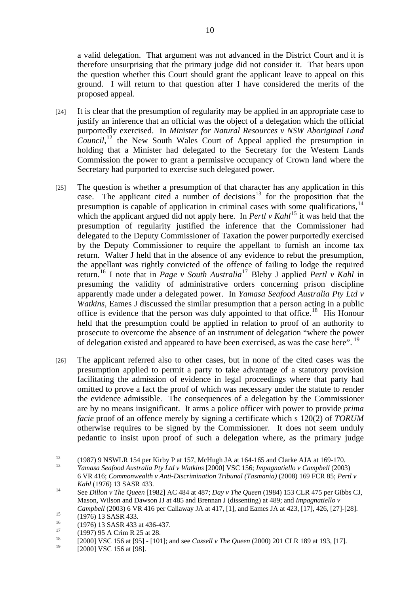a valid delegation. That argument was not advanced in the District Court and it is therefore unsurprising that the primary judge did not consider it. That bears upon the question whether this Court should grant the applicant leave to appeal on this ground. I will return to that question after I have considered the merits of the proposed appeal.

- [24] It is clear that the presumption of regularity may be applied in an appropriate case to justify an inference that an official was the object of a delegation which the official purportedly exercised. In *Minister for Natural Resources v NSW Aboriginal Land Council*,<sup>[12](#page-9-0)</sup> the New South Wales Court of Appeal applied the presumption in holding that a Minister had delegated to the Secretary for the Western Lands Commission the power to grant a permissive occupancy of Crown land where the Secretary had purported to exercise such delegated power.
- [25] The question is whether a presumption of that character has any application in this case. The applicant cited a number of decisions<sup>[13](#page-9-1)</sup> for the proposition that the presumption is capable of application in criminal cases with some qualifications,  $14$ which the applicant argued did not apply here. In *Pertl v Kahl*<sup>[15](#page-9-3)</sup> it was held that the presumption of regularity justified the inference that the Commissioner had delegated to the Deputy Commissioner of Taxation the power purportedly exercised by the Deputy Commissioner to require the appellant to furnish an income tax return. Walter J held that in the absence of any evidence to rebut the presumption, the appellant was rightly convicted of the offence of failing to lodge the required return.[16](#page-9-4) I note that in *Page v South Australia*[17](#page-9-5) Bleby J applied *Pertl v Kahl* in presuming the validity of administrative orders concerning prison discipline apparently made under a delegated power. In *Yamasa Seafood Australia Pty Ltd v Watkins*, Eames J discussed the similar presumption that a person acting in a public office is evidence that the person was duly appointed to that office.<sup>[18](#page-9-6)</sup> His Honour held that the presumption could be applied in relation to proof of an authority to prosecute to overcome the absence of an instrument of delegation "where the power of delegation existed and appeared to have been exercised, as was the case here". [19](#page-9-7)
- [26] The applicant referred also to other cases, but in none of the cited cases was the presumption applied to permit a party to take advantage of a statutory provision facilitating the admission of evidence in legal proceedings where that party had omitted to prove a fact the proof of which was necessary under the statute to render the evidence admissible. The consequences of a delegation by the Commissioner are by no means insignificant. It arms a police officer with power to provide *prima facie* proof of an offence merely by signing a certificate which s 120(2) of *TORUM* otherwise requires to be signed by the Commissioner. It does not seem unduly pedantic to insist upon proof of such a delegation where, as the primary judge

<span id="page-9-7"></span>[2000] VSC 156 at [98].

<span id="page-9-1"></span><span id="page-9-0"></span> $12$ <sup>12</sup> (1987) 9 NSWLR 154 per Kirby P at 157, McHugh JA at 164-165 and Clarke AJA at 169-170.

<sup>13</sup> *Yamasa Seafood Australia Pty Ltd v Watkins* [2000] VSC 156; *Impagnatiello v Campbell* (2003) 6 VR 416; *Commonwealth v Anti-Discrimination Tribunal (Tasmania)* (2008) 169 FCR 85; *Pertl v* 

<span id="page-9-2"></span>*Kahl* (1976) 13 SASR 433.<br><sup>14</sup> See *Dillon v The Queen* [1982] AC 484 at 487; *Day v The Queen* (1984) 153 CLR 475 per Gibbs CJ, Mason, Wilson and Dawson JJ at 485 and Brennan J (dissenting) at 489; and *Impagnatiello v Campbell* (2003) 6 VR 416 per Callaway JA at 417, [1], and Eames JA at 423, [17], 426, [27]-[28].<br>
(1976) 13 SASR 433.<br>
(1976) 13 SASR 433.

<span id="page-9-3"></span>

<span id="page-9-4"></span> $^{16}$  (1976) 13 SASR 433 at 436-437.

<span id="page-9-5"></span> $^{17}$  (1997) 95 A Crim R 25 at 28.

<span id="page-9-6"></span><sup>&</sup>lt;sup>18</sup> [2000] VSC 156 at [95] - [101]; and see *Cassell v The Queen* (2000) 201 CLR 189 at 193, [17].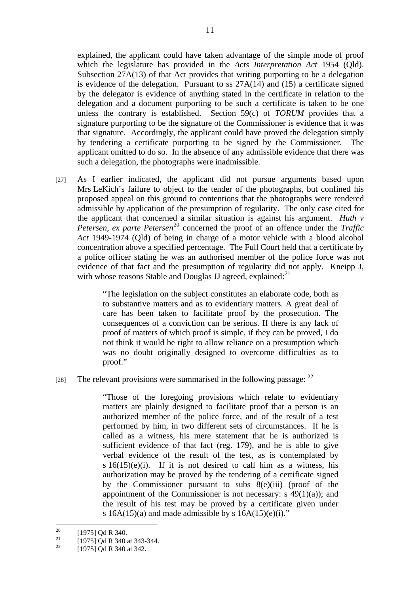explained, the applicant could have taken advantage of the simple mode of proof which the legislature has provided in the *Acts Interpretation Act* 1954 (Qld). Subsection 27A(13) of that Act provides that writing purporting to be a delegation is evidence of the delegation. Pursuant to ss  $27A(14)$  and  $(15)$  a certificate signed by the delegator is evidence of anything stated in the certificate in relation to the delegation and a document purporting to be such a certificate is taken to be one unless the contrary is established. Section 59(c) of *TORUM* provides that a signature purporting to be the signature of the Commissioner is evidence that it was that signature. Accordingly, the applicant could have proved the delegation simply by tendering a certificate purporting to be signed by the Commissioner. The applicant omitted to do so. In the absence of any admissible evidence that there was such a delegation, the photographs were inadmissible.

[27] As I earlier indicated, the applicant did not pursue arguments based upon Mrs LeKich's failure to object to the tender of the photographs, but confined his proposed appeal on this ground to contentions that the photographs were rendered admissible by application of the presumption of regularity. The only case cited for the applicant that concerned a similar situation is against his argument. *Huth v Petersen*, *ex parte Petersen*<sup>[20](#page-10-0)</sup> concerned the proof of an offence under the *Traffic Act* 1949-1974 (Qld) of being in charge of a motor vehicle with a blood alcohol concentration above a specified percentage. The Full Court held that a certificate by a police officer stating he was an authorised member of the police force was not evidence of that fact and the presumption of regularity did not apply. Kneipp J, with whose reasons Stable and Douglas JJ agreed, explained: $^{21}$  $^{21}$  $^{21}$ 

> "The legislation on the subject constitutes an elaborate code, both as to substantive matters and as to evidentiary matters. A great deal of care has been taken to facilitate proof by the prosecution. The consequences of a conviction can be serious. If there is any lack of proof of matters of which proof is simple, if they can be proved, I do not think it would be right to allow reliance on a presumption which was no doubt originally designed to overcome difficulties as to proof."

[28] The relevant provisions were summarised in the following passage:  $^{22}$  $^{22}$  $^{22}$ 

"Those of the foregoing provisions which relate to evidentiary matters are plainly designed to facilitate proof that a person is an authorized member of the police force, and of the result of a test performed by him, in two different sets of circumstances. If he is called as a witness, his mere statement that he is authorized is sufficient evidence of that fact (reg. 179), and he is able to give verbal evidence of the result of the test, as is contemplated by s  $16(15)(e)(i)$ . If it is not desired to call him as a witness, his authorization may be proved by the tendering of a certificate signed by the Commissioner pursuant to subs  $8(e)(iii)$  (proof of the appointment of the Commissioner is not necessary:  $s \frac{49(1)(a)}{s}$ ; and the result of his test may be proved by a certificate given under s  $16A(15)(a)$  and made admissible by s  $16A(15)(e)(i)$ ."

<span id="page-10-0"></span> $20$  $\frac{20}{21}$  [1975] Qd R 340.

<span id="page-10-1"></span><sup>&</sup>lt;sup>21</sup> [1975] Qd R 340 at 343-344.

<span id="page-10-2"></span><sup>[1975]</sup> Qd R 340 at 342.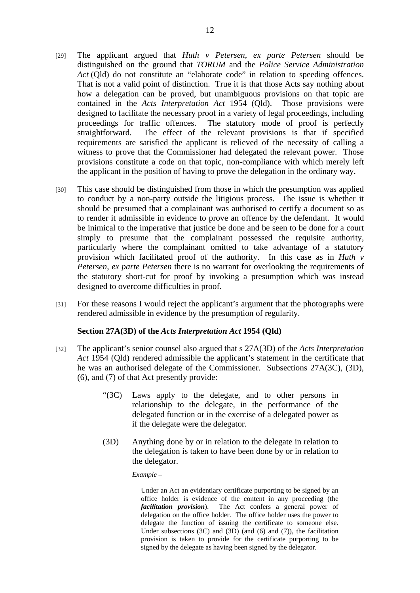- [29] The applicant argued that *Huth v Petersen*, *ex parte Petersen* should be distinguished on the ground that *TORUM* and the *Police Service Administration Act* (Qld) do not constitute an "elaborate code" in relation to speeding offences. That is not a valid point of distinction. True it is that those Acts say nothing about how a delegation can be proved, but unambiguous provisions on that topic are contained in the *Acts Interpretation Act* 1954 (Qld). Those provisions were designed to facilitate the necessary proof in a variety of legal proceedings, including proceedings for traffic offences. The statutory mode of proof is perfectly straightforward. The effect of the relevant provisions is that if specified requirements are satisfied the applicant is relieved of the necessity of calling a witness to prove that the Commissioner had delegated the relevant power. Those provisions constitute a code on that topic, non-compliance with which merely left the applicant in the position of having to prove the delegation in the ordinary way.
- [30] This case should be distinguished from those in which the presumption was applied to conduct by a non-party outside the litigious process. The issue is whether it should be presumed that a complainant was authorised to certify a document so as to render it admissible in evidence to prove an offence by the defendant. It would be inimical to the imperative that justice be done and be seen to be done for a court simply to presume that the complainant possessed the requisite authority, particularly where the complainant omitted to take advantage of a statutory provision which facilitated proof of the authority. In this case as in *Huth v Petersen*, *ex parte Petersen* there is no warrant for overlooking the requirements of the statutory short-cut for proof by invoking a presumption which was instead designed to overcome difficulties in proof.
- [31] For these reasons I would reject the applicant's argument that the photographs were rendered admissible in evidence by the presumption of regularity.

### **Section 27A(3D) of the** *Acts Interpretation Act* **1954 (Qld)**

- [32] The applicant's senior counsel also argued that s 27A(3D) of the *Acts Interpretation Act* 1954 (Qld) rendered admissible the applicant's statement in the certificate that he was an authorised delegate of the Commissioner. Subsections 27A(3C), (3D), (6), and (7) of that Act presently provide:
	- "(3C) Laws apply to the delegate, and to other persons in relationship to the delegate, in the performance of the delegated function or in the exercise of a delegated power as if the delegate were the delegator.
	- (3D) Anything done by or in relation to the delegate in relation to the delegation is taken to have been done by or in relation to the delegator.

*Example –* 

 Under an Act an evidentiary certificate purporting to be signed by an office holder is evidence of the content in any proceeding (the *facilitation provision*). The Act confers a general power of delegation on the office holder. The office holder uses the power to delegate the function of issuing the certificate to someone else. Under subsections  $(3C)$  and  $(3D)$  (and  $(6)$  and  $(7)$ ), the facilitation provision is taken to provide for the certificate purporting to be signed by the delegate as having been signed by the delegator.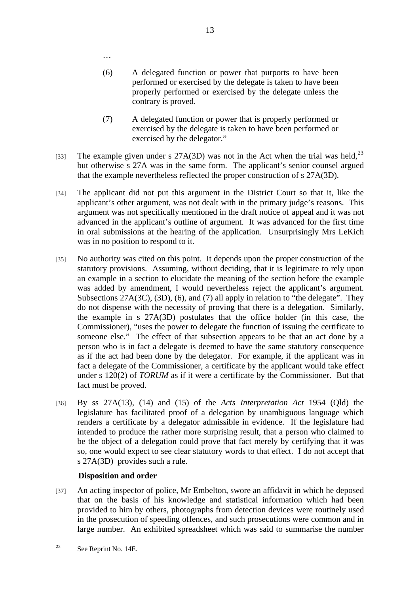- (6) A delegated function or power that purports to have been performed or exercised by the delegate is taken to have been properly performed or exercised by the delegate unless the contrary is proved.
- (7) A delegated function or power that is properly performed or exercised by the delegate is taken to have been performed or exercised by the delegator."
- [33] The example given under s  $27A(3D)$  was not in the Act when the trial was held,<sup>[23](#page-12-0)</sup> but otherwise s 27A was in the same form. The applicant's senior counsel argued that the example nevertheless reflected the proper construction of s 27A(3D).
- [34] The applicant did not put this argument in the District Court so that it, like the applicant's other argument, was not dealt with in the primary judge's reasons. This argument was not specifically mentioned in the draft notice of appeal and it was not advanced in the applicant's outline of argument. It was advanced for the first time in oral submissions at the hearing of the application. Unsurprisingly Mrs LeKich was in no position to respond to it.
- [35] No authority was cited on this point. It depends upon the proper construction of the statutory provisions. Assuming, without deciding, that it is legitimate to rely upon an example in a section to elucidate the meaning of the section before the example was added by amendment, I would nevertheless reject the applicant's argument. Subsections 27A(3C), (3D), (6), and (7) all apply in relation to "the delegate". They do not dispense with the necessity of proving that there is a delegation. Similarly, the example in s 27A(3D) postulates that the office holder (in this case, the Commissioner), "uses the power to delegate the function of issuing the certificate to someone else." The effect of that subsection appears to be that an act done by a person who is in fact a delegate is deemed to have the same statutory consequence as if the act had been done by the delegator. For example, if the applicant was in fact a delegate of the Commissioner, a certificate by the applicant would take effect under s 120(2) of *TORUM* as if it were a certificate by the Commissioner. But that fact must be proved.
- [36] By ss 27A(13), (14) and (15) of the *Acts Interpretation Act* 1954 (Qld) the legislature has facilitated proof of a delegation by unambiguous language which renders a certificate by a delegator admissible in evidence. If the legislature had intended to produce the rather more surprising result, that a person who claimed to be the object of a delegation could prove that fact merely by certifying that it was so, one would expect to see clear statutory words to that effect. I do not accept that s 27A(3D) provides such a rule.

# **Disposition and order**

…

[37] An acting inspector of police, Mr Embelton, swore an affidavit in which he deposed that on the basis of his knowledge and statistical information which had been provided to him by others, photographs from detection devices were routinely used in the prosecution of speeding offences, and such prosecutions were common and in large number. An exhibited spreadsheet which was said to summarise the number

<span id="page-12-0"></span> $2<sup>2</sup>$ See Reprint No. 14E.